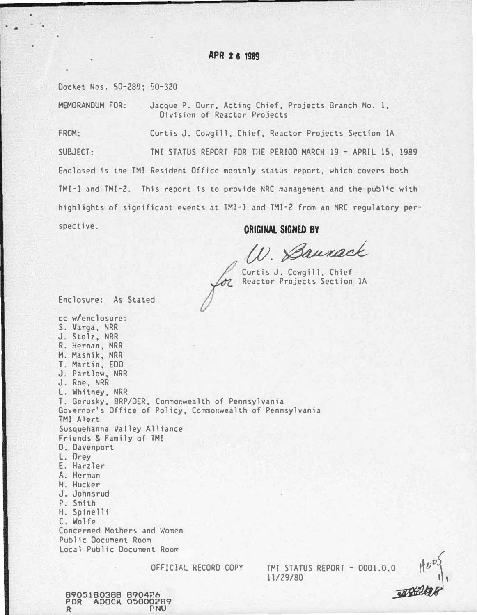# APR Z 6 1999

Docket Nos. 50-289; 50-320

MEMORANDUM FOR: Jacque P. Durr, Acting Chief, Projects Branch No. 1, Division of Reactor Projects

FROM: Curtis J. Cowgill, Chief, Reactor Projects Section 1A SUBJECT: TMI STATUS REPORT FOR lHE PERIOD MARCH 19 - APRIL 15, 1989 Enclosed ts the TMI Resident Office monthly status report, which covers both TMI-1 and TMI-2. This report is to provide NRC management and the public with highlights of significant events at TMI-1 and TMI-2 from an NRC regulatory perspective.

ORIGINAL SIGHED BY

D. Baurack

Curtis J. Cowgill, Chief<br> *Jol* Reactor Projects Section Reactor Projects Section lA

Enclosure: As Stated

cc w/enclosure: S. Varga, NRR J. Stolz, NRR R. Hernan, NRR M. Masnlk, NRR T. Martin, EDO J. Partlow, NRR J. Roe, NRR L. Whitney, NRR T. Gerusky, BRP/DER, Commonwealth of Pennsylvania Governor's Office of Policy, Commonwealth of Pennsylvania TMI Alert Susquehanna Valley Alliance Friends & Family of TMI D. Davenport L. Orey E. Harzler A. Herman H. Hucker J. Johnsrud P. Smith H. Spinelli C. Wolfe Concerned Mothers and Women Public Document Room Local Public Document Room OFFICIAL RECORD COPY

TMI STATUS REPORT -11/29/80



8905180388 890426 PDR ADOCK 05000289 R PNU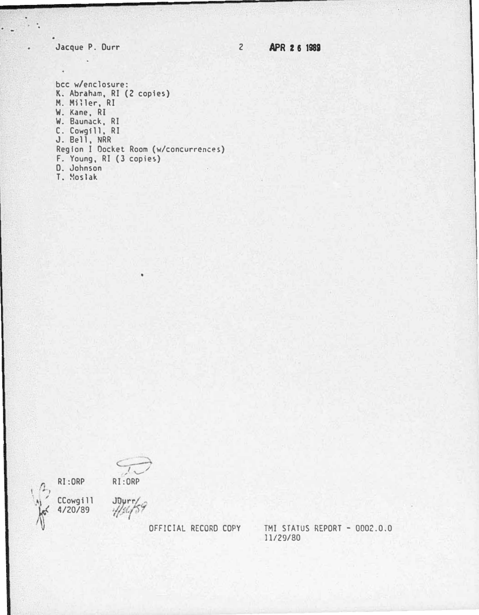Jacque P. Durr

 $\sim$   $\sim$ 

 $\overline{2}$ **APR 26 1989** 

bcc w/enclosure: K. Abraham, RI (2 copies)<br>M. Miller, RI W. Kane, RI W. Baunack, RI C. Cowgill, RI<br>J. Bell, NRR Region I Docket Room (w/concurrences) F. Young, RI (3 copies) D. Johnson T. Moslak

RI:ORP CCowgill  $4/20/89$ 



 $JQyrr$ 

ź

OFFICIAL RECORD COPY

TMI STATUS REPORT - 0002.0.0 11/29/80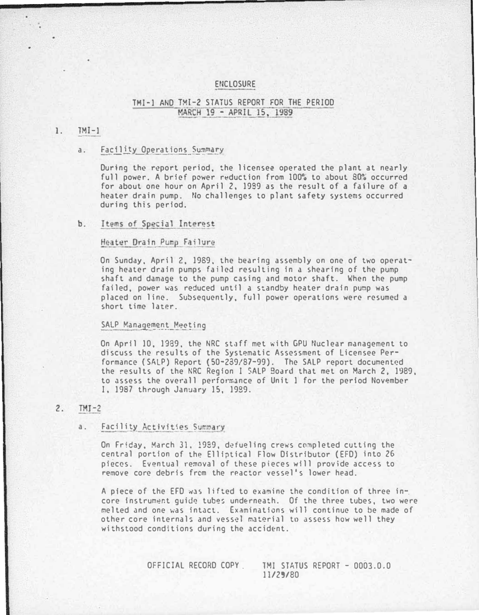### ENCLOSURE

# TMI-1 AND TMI-2 STATUS REPORT FOR THE PERIOD . MARCH 19 - APRIL 15, 1989

### 1. TMI-1

### a. Facility Operations Summary

During the report period, the licensee operated the plant at nearly full power. A brief power reduction from 100% to about 80% occurred for about one hour on April 2. 1939 as the result of a failure of a heater drain pump. No challenges to plant safety systems occurred during this period.

#### Items of Special Interest b.

### Heater Drain Pump Failure

On Sunday, April 2, 1989, the bearing assembly on one of two operating heater drain pumps failed resulting in a shearing of the pump shaft and damage to the pu�p casing and motor shaft. When the pump failed, power was reduced until a standby heater drain pump was placed on line. Subsequently, full power operations were resumed <sup>a</sup> short time later.

### SALP Management Meeting

On April 10, 1989, the NRC staff met with GPU Nuclear management to discuss the results of the Systematic Assessment of licensee Performance (SALP) Report (50-239/87-99). The SALP report documented the results of the NRC Region I SALP 9oard that met on March 2, 1989, to assess the overall performance of Unit 1 for the period November I, 1987 through January 15, 1939.

#### $TMI-2$  $2.$

### a. Facility Activities Summary

On Friday, March 31, 1989, defueling crews completed cutting the central portion of the Elliptical Flow Distributor (EFD) into 26 pieces. Eventual removal of these pieces will provide access to remove core debris from the reactor vessel's lower head.

A piece of the EFD was lifted to examine the condition of three incore instrument quide tubes underneath. Of the three tubes, two were melted and one was intact. Examinations will continue to be made of other core internals and vessel material to assess how well they withstood conditions during the accident.

> OFFICIAL RECORD COPY . TMI STATUS REPORT - 0003.0.0 11/29/80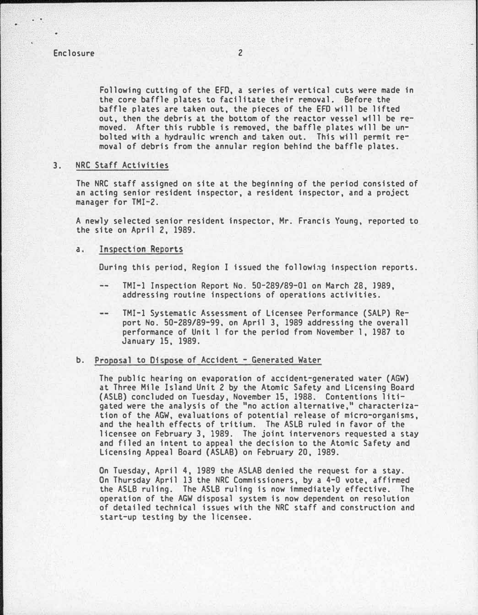# Enclosure 2

Following cutting of the EFO, a series of vertical cuts were made in the core baffle plates to facilitate their removal. Before the baffle plates are taken out, the pieces of the EFD will be lifted out, then the debris at the bottom of the reactor vessel wfll be removed. After this rubble is removed, the baffle plates wfll be unbolted with a hydraulic wrench and taken out. This will permit removal of debris from the annular region behind the baffle plates.

### 3. NRC Staff Activities

The NRC staff assigned on site at the beginning of the period consisted of an acting senior resident inspector, a resident inspector, and a project manager for TMI-2.

A newly selected senior resident Inspector, Mr. Francis Young, reported to the site on April 2, 1989.

a. Inspection Reports

During this period, Region I issued the followi�g inspection reports.

- TMI-1 Inspection Report No. 50-289/89-01 on March 28, 1989, addressing routine inspections of operations activities.
- TMI-1 Systematic Assessment of licensee Performance (SAlP) Re- $\cdots$ port No. 50-289/89-99, on April 3, 1989 addressing the overall performance of Unit 1 for the period from November 1, 1987 to January 15, 1989.

### b. Proposal to Dispose of Accident - Generated Water

The public hearing on evaporation of accident-generated water (AGW) at Three Mile Island Unit 2 by the Atomic Safety and licensing Board (ASlB) concluded on Tuesday, November 15, 1988. Contentions litigated were the analysis of the "no action alternative," characterization of the AGW, evaluations of potential release of micro-organisms, and the health effects of tritium. The ASlB ruled in favor of the licensee on February 3, 1989. The joint intervenors requested a stay and filed an intent to appeal the decision to the Atomic Safety and licensing Appeal Board (ASLAB) on February 20, 1989.

On Tuesday, April 4, 1989 the ASLAB dented the request for a stay. On Thursday April 13 the NRC Commissioners, by a 4-0 vote, affirmed the ASlB ruling. The ASlB ruling is now immediately effective. The operation of the AGW disposal system is now dependent on resolution of detailed technical issues with the NRC staff and construction and start-up testing by the licensee.